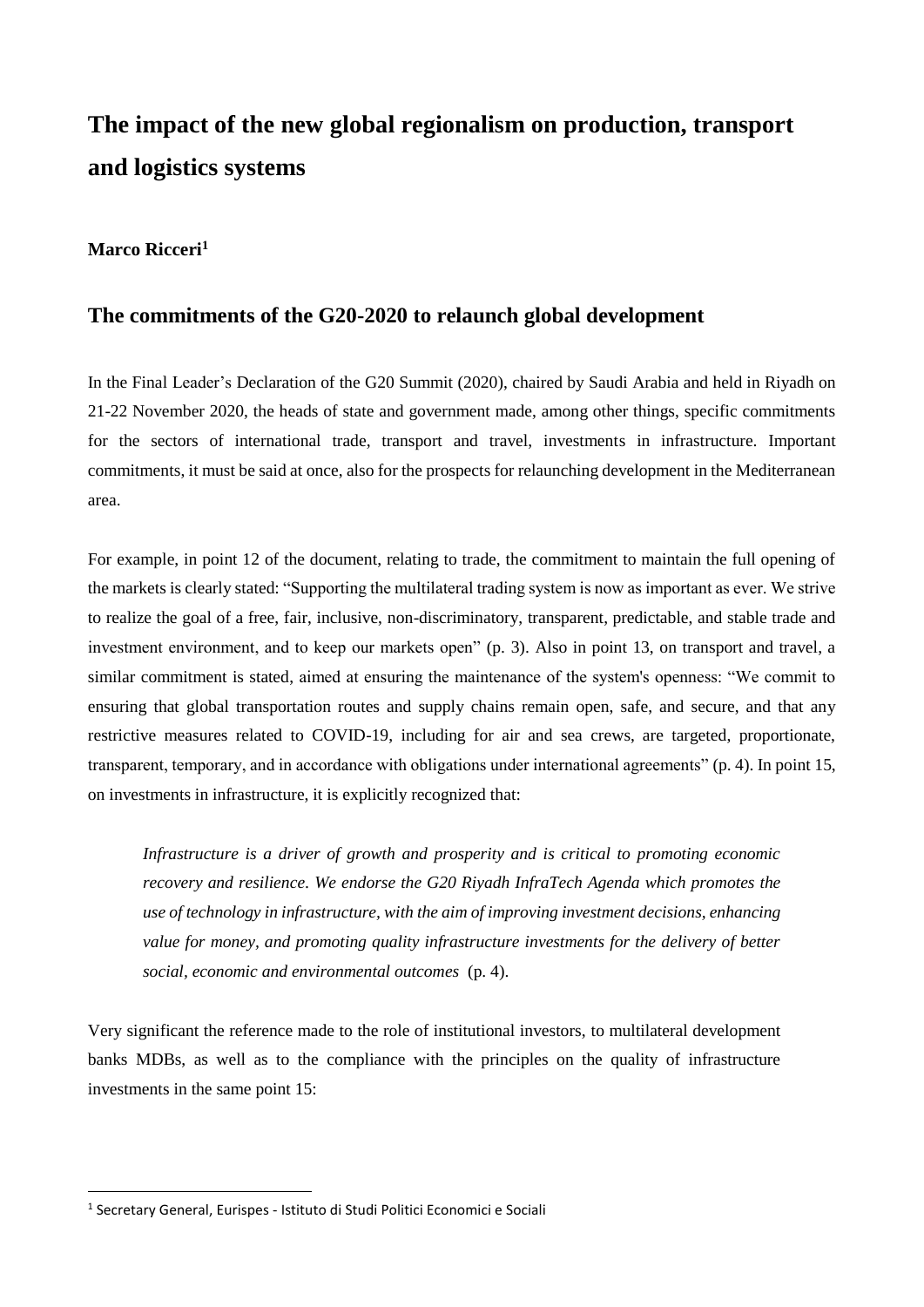# **The impact of the new global regionalism on production, transport and logistics systems**

# **Marco Ricceri<sup>1</sup>**

### **The commitments of the G20-2020 to relaunch global development**

In the Final Leader's Declaration of the G20 Summit (2020), chaired by Saudi Arabia and held in Riyadh on 21-22 November 2020, the heads of state and government made, among other things, specific commitments for the sectors of international trade, transport and travel, investments in infrastructure. Important commitments, it must be said at once, also for the prospects for relaunching development in the Mediterranean area.

For example, in point 12 of the document, relating to trade, the commitment to maintain the full opening of the markets is clearly stated: "Supporting the multilateral trading system is now as important as ever. We strive to realize the goal of a free, fair, inclusive, non-discriminatory, transparent, predictable, and stable trade and investment environment, and to keep our markets open" (p. 3). Also in point 13, on transport and travel, a similar commitment is stated, aimed at ensuring the maintenance of the system's openness: "We commit to ensuring that global transportation routes and supply chains remain open, safe, and secure, and that any restrictive measures related to COVID-19, including for air and sea crews, are targeted, proportionate, transparent, temporary, and in accordance with obligations under international agreements" (p. 4). In point 15, on investments in infrastructure, it is explicitly recognized that:

*Infrastructure is a driver of growth and prosperity and is critical to promoting economic recovery and resilience. We endorse the G20 Riyadh InfraTech Agenda which promotes the use of technology in infrastructure, with the aim of improving investment decisions, enhancing value for money, and promoting quality infrastructure investments for the delivery of better social, economic and environmental outcomes* (p. 4).

Very significant the reference made to the role of institutional investors, to multilateral development banks MDBs, as well as to the compliance with the principles on the quality of infrastructure investments in the same point 15:

**.** 

<sup>&</sup>lt;sup>1</sup> Secretary General, Eurispes - Istituto di Studi Politici Economici e Sociali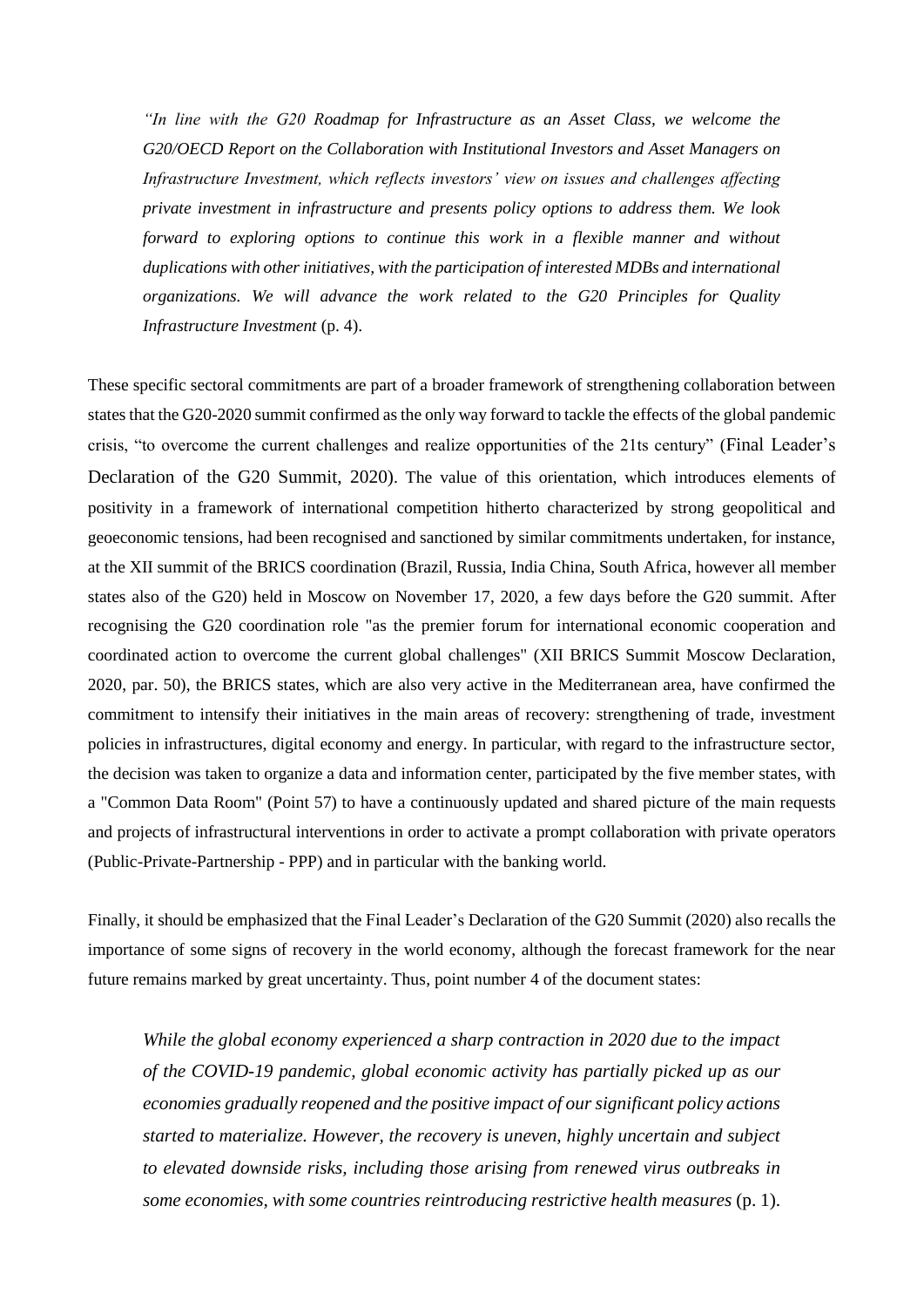*"In line with the G20 Roadmap for Infrastructure as an Asset Class, we welcome the G20/OECD Report on the Collaboration with Institutional Investors and Asset Managers on Infrastructure Investment, which reflects investors' view on issues and challenges affecting private investment in infrastructure and presents policy options to address them. We look forward to exploring options to continue this work in a flexible manner and without duplications with other initiatives, with the participation of interested MDBs and international organizations. We will advance the work related to the G20 Principles for Quality Infrastructure Investment* (p. 4).

These specific sectoral commitments are part of a broader framework of strengthening collaboration between states that the G20-2020 summit confirmed as the only way forward to tackle the effects of the global pandemic crisis, "to overcome the current challenges and realize opportunities of the 21ts century" (Final Leader's Declaration of the G20 Summit, 2020). The value of this orientation, which introduces elements of positivity in a framework of international competition hitherto characterized by strong geopolitical and geoeconomic tensions, had been recognised and sanctioned by similar commitments undertaken, for instance, at the XII summit of the BRICS coordination (Brazil, Russia, India China, South Africa, however all member states also of the G20) held in Moscow on November 17, 2020, a few days before the G20 summit. After recognising the G20 coordination role "as the premier forum for international economic cooperation and coordinated action to overcome the current global challenges" (XII BRICS Summit Moscow Declaration, 2020, par. 50), the BRICS states, which are also very active in the Mediterranean area, have confirmed the commitment to intensify their initiatives in the main areas of recovery: strengthening of trade, investment policies in infrastructures, digital economy and energy. In particular, with regard to the infrastructure sector, the decision was taken to organize a data and information center, participated by the five member states, with a "Common Data Room" (Point 57) to have a continuously updated and shared picture of the main requests and projects of infrastructural interventions in order to activate a prompt collaboration with private operators (Public-Private-Partnership - PPP) and in particular with the banking world.

Finally, it should be emphasized that the Final Leader's Declaration of the G20 Summit (2020) also recalls the importance of some signs of recovery in the world economy, although the forecast framework for the near future remains marked by great uncertainty. Thus, point number 4 of the document states:

*While the global economy experienced a sharp contraction in 2020 due to the impact of the COVID-19 pandemic, global economic activity has partially picked up as our economies gradually reopened and the positive impact of our significant policy actions started to materialize. However, the recovery is uneven, highly uncertain and subject to elevated downside risks, including those arising from renewed virus outbreaks in some economies, with some countries reintroducing restrictive health measures* (p. 1).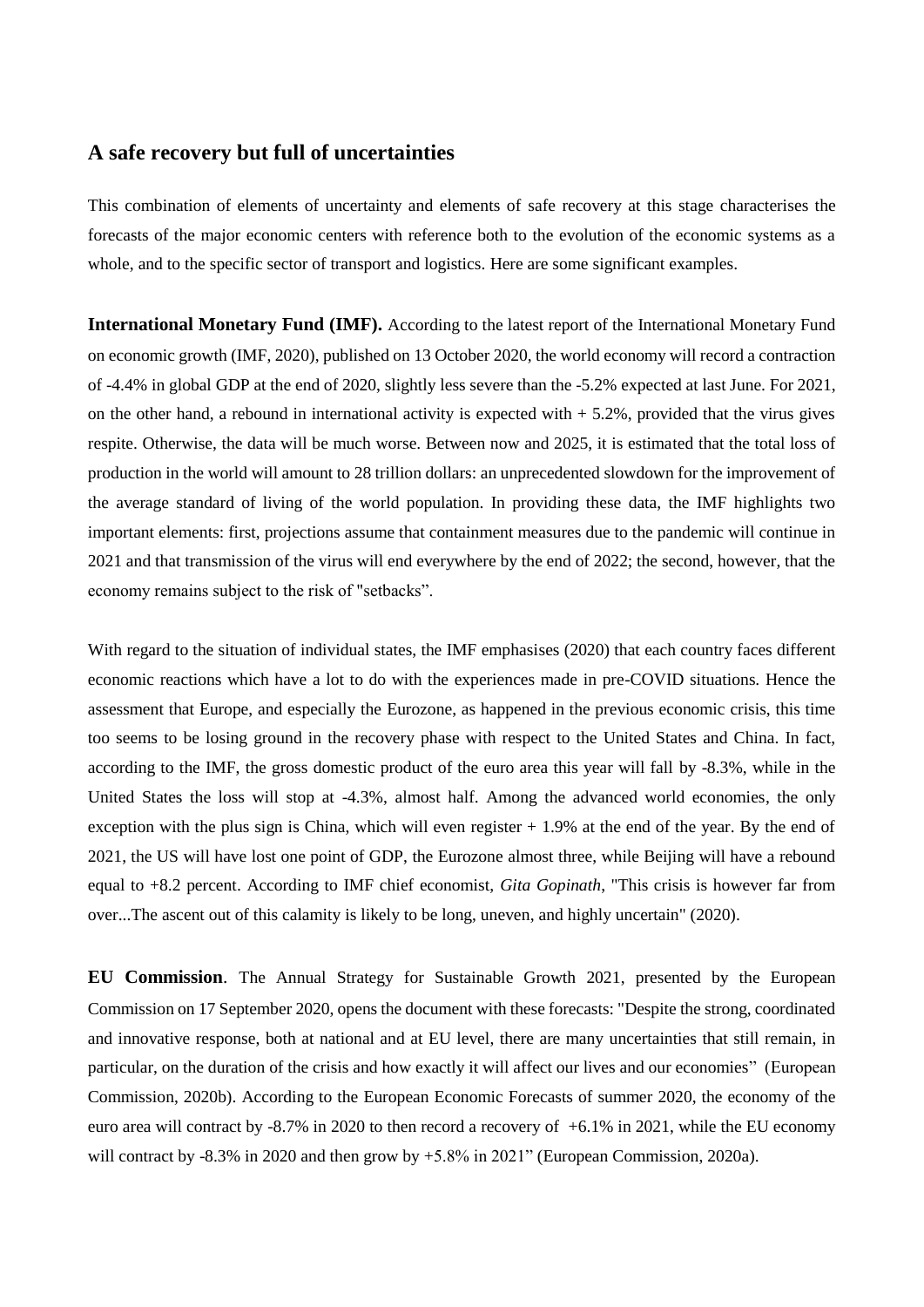# **A safe recovery but full of uncertainties**

This combination of elements of uncertainty and elements of safe recovery at this stage characterises the forecasts of the major economic centers with reference both to the evolution of the economic systems as a whole, and to the specific sector of transport and logistics. Here are some significant examples.

**International Monetary Fund (IMF).** According to the latest report of the International Monetary Fund on economic growth (IMF, 2020), published on 13 October 2020, the world economy will record a contraction of -4.4% in global GDP at the end of 2020, slightly less severe than the -5.2% expected at last June. For 2021, on the other hand, a rebound in international activity is expected with  $+ 5.2$ %, provided that the virus gives respite. Otherwise, the data will be much worse. Between now and 2025, it is estimated that the total loss of production in the world will amount to 28 trillion dollars: an unprecedented slowdown for the improvement of the average standard of living of the world population. In providing these data, the IMF highlights two important elements: first, projections assume that containment measures due to the pandemic will continue in 2021 and that transmission of the virus will end everywhere by the end of 2022; the second, however, that the economy remains subject to the risk of "setbacks".

With regard to the situation of individual states, the IMF emphasises (2020) that each country faces different economic reactions which have a lot to do with the experiences made in pre-COVID situations. Hence the assessment that Europe, and especially the Eurozone, as happened in the previous economic crisis, this time too seems to be losing ground in the recovery phase with respect to the United States and China. In fact, according to the IMF, the gross domestic product of the euro area this year will fall by -8.3%, while in the United States the loss will stop at -4.3%, almost half. Among the advanced world economies, the only exception with the plus sign is China, which will even register  $+1.9\%$  at the end of the year. By the end of 2021, the US will have lost one point of GDP, the Eurozone almost three, while Beijing will have a rebound equal to +8.2 percent. According to IMF chief economist, *Gita Gopinath*, "This crisis is however far from over...The ascent out of this calamity is likely to be long, uneven, and highly uncertain" (2020).

**EU Commission**. The Annual Strategy for Sustainable Growth 2021, presented by the European Commission on 17 September 2020, opens the document with these forecasts: "Despite the strong, coordinated and innovative response, both at national and at EU level, there are many uncertainties that still remain, in particular, on the duration of the crisis and how exactly it will affect our lives and our economies" (European Commission, 2020b). According to the European Economic Forecasts of summer 2020, the economy of the euro area will contract by -8.7% in 2020 to then record a recovery of +6.1% in 2021, while the EU economy will contract by -8.3% in 2020 and then grow by +5.8% in 2021" (European Commission, 2020a).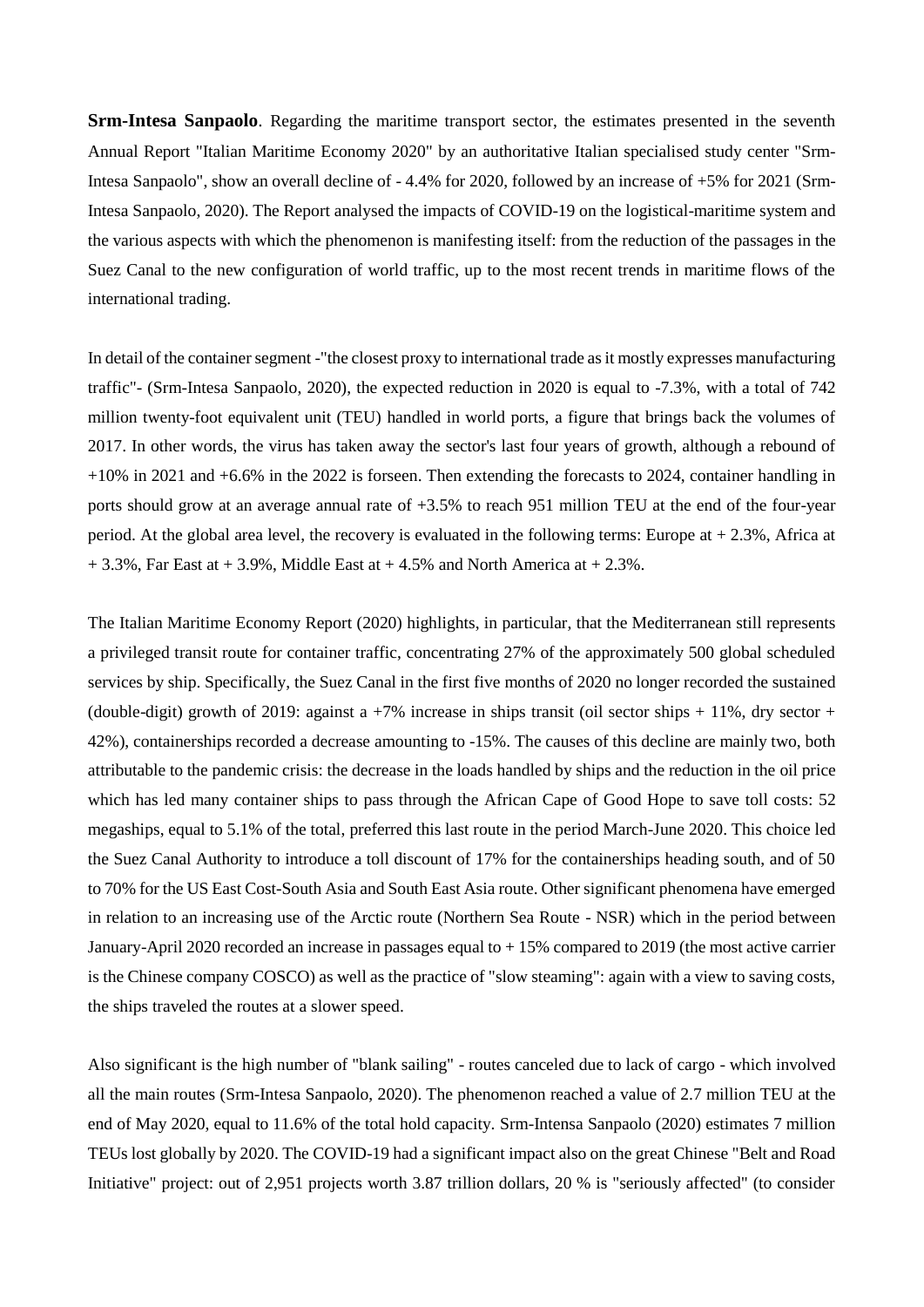**Srm-Intesa Sanpaolo**. Regarding the maritime transport sector, the estimates presented in the seventh Annual Report "Italian Maritime Economy 2020" by an authoritative Italian specialised study center "Srm-Intesa Sanpaolo", show an overall decline of - 4.4% for 2020, followed by an increase of +5% for 2021 (Srm-Intesa Sanpaolo, 2020). The Report analysed the impacts of COVID-19 on the logistical-maritime system and the various aspects with which the phenomenon is manifesting itself: from the reduction of the passages in the Suez Canal to the new configuration of world traffic, up to the most recent trends in maritime flows of the international trading.

In detail of the container segment -"the closest proxy to international trade as it mostly expresses manufacturing traffic"- (Srm-Intesa Sanpaolo, 2020), the expected reduction in 2020 is equal to -7.3%, with a total of 742 million twenty-foot equivalent unit (TEU) handled in world ports, a figure that brings back the volumes of 2017. In other words, the virus has taken away the sector's last four years of growth, although a rebound of +10% in 2021 and +6.6% in the 2022 is forseen. Then extending the forecasts to 2024, container handling in ports should grow at an average annual rate of +3.5% to reach 951 million TEU at the end of the four-year period. At the global area level, the recovery is evaluated in the following terms: Europe at + 2.3%, Africa at  $+ 3.3\%$ , Far East at  $+ 3.9\%$ , Middle East at  $+ 4.5\%$  and North America at  $+ 2.3\%$ .

The Italian Maritime Economy Report (2020) highlights, in particular, that the Mediterranean still represents a privileged transit route for container traffic, concentrating 27% of the approximately 500 global scheduled services by ship. Specifically, the Suez Canal in the first five months of 2020 no longer recorded the sustained (double-digit) growth of 2019: against a  $+7\%$  increase in ships transit (oil sector ships  $+11\%$ , dry sector + 42%), containerships recorded a decrease amounting to -15%. The causes of this decline are mainly two, both attributable to the pandemic crisis: the decrease in the loads handled by ships and the reduction in the oil price which has led many container ships to pass through the African Cape of Good Hope to save toll costs: 52 megaships, equal to 5.1% of the total, preferred this last route in the period March-June 2020. This choice led the Suez Canal Authority to introduce a toll discount of 17% for the containerships heading south, and of 50 to 70% for the US East Cost-South Asia and South East Asia route. Other significant phenomena have emerged in relation to an increasing use of the Arctic route (Northern Sea Route - NSR) which in the period between January-April 2020 recorded an increase in passages equal to + 15% compared to 2019 (the most active carrier is the Chinese company COSCO) as well as the practice of "slow steaming": again with a view to saving costs, the ships traveled the routes at a slower speed.

Also significant is the high number of "blank sailing" - routes canceled due to lack of cargo - which involved all the main routes (Srm-Intesa Sanpaolo, 2020). The phenomenon reached a value of 2.7 million TEU at the end of May 2020, equal to 11.6% of the total hold capacity. Srm-Intensa Sanpaolo (2020) estimates 7 million TEUs lost globally by 2020. The COVID-19 had a significant impact also on the great Chinese "Belt and Road Initiative" project: out of 2,951 projects worth 3.87 trillion dollars, 20 % is "seriously affected" (to consider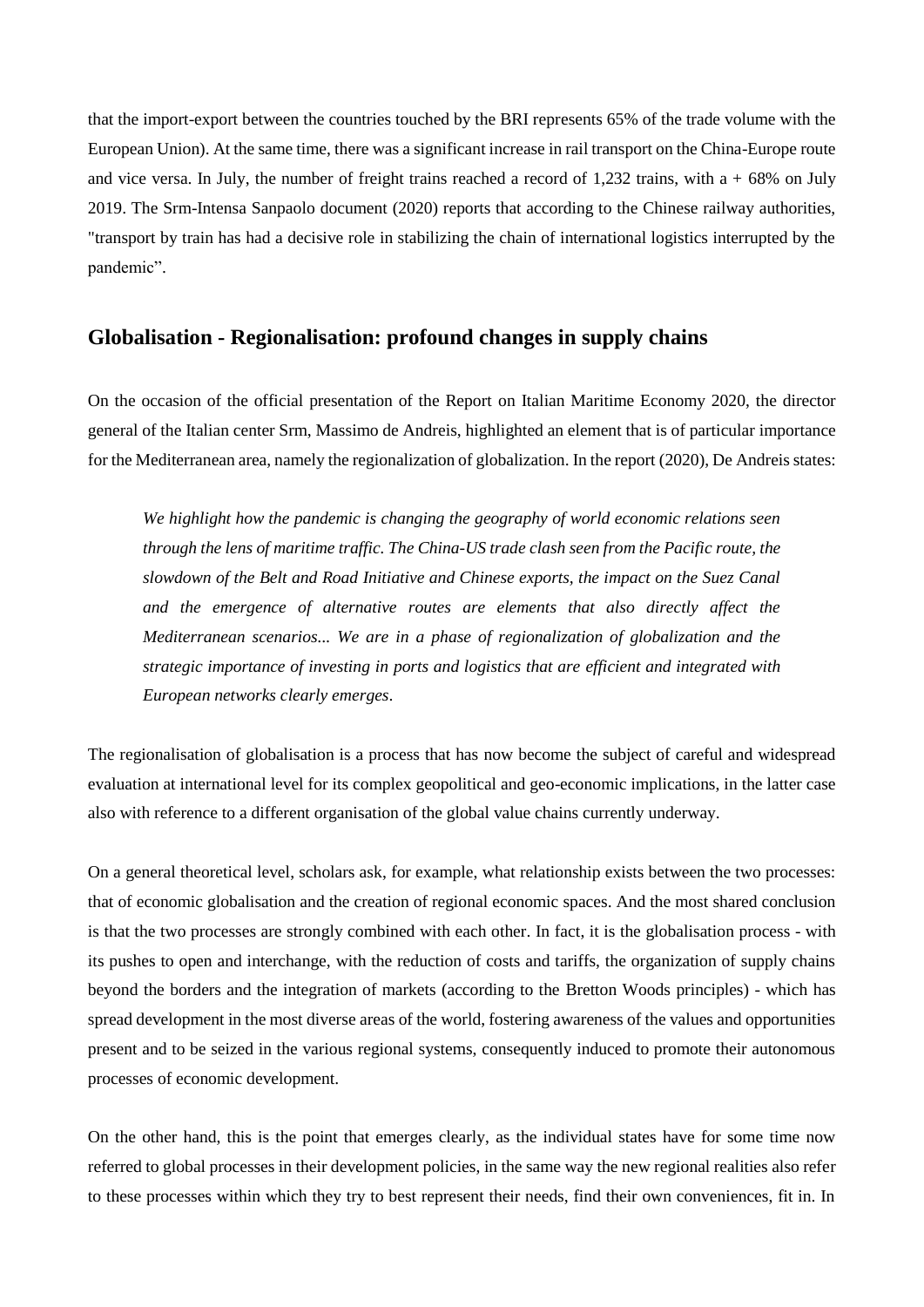that the import-export between the countries touched by the BRI represents 65% of the trade volume with the European Union). At the same time, there was a significant increase in rail transport on the China-Europe route and vice versa. In July, the number of freight trains reached a record of 1,232 trains, with  $a + 68\%$  on July 2019. The Srm-Intensa Sanpaolo document (2020) reports that according to the Chinese railway authorities, "transport by train has had a decisive role in stabilizing the chain of international logistics interrupted by the pandemic".

### **Globalisation - Regionalisation: profound changes in supply chains**

On the occasion of the official presentation of the Report on Italian Maritime Economy 2020, the director general of the Italian center Srm, Massimo de Andreis, highlighted an element that is of particular importance for the Mediterranean area, namely the regionalization of globalization. In the report (2020), De Andreis states:

*We highlight how the pandemic is changing the geography of world economic relations seen through the lens of maritime traffic. The China-US trade clash seen from the Pacific route, the slowdown of the Belt and Road Initiative and Chinese exports, the impact on the Suez Canal and the emergence of alternative routes are elements that also directly affect the Mediterranean scenarios... We are in a phase of regionalization of globalization and the strategic importance of investing in ports and logistics that are efficient and integrated with European networks clearly emerges*.

The regionalisation of globalisation is a process that has now become the subject of careful and widespread evaluation at international level for its complex geopolitical and geo-economic implications, in the latter case also with reference to a different organisation of the global value chains currently underway.

On a general theoretical level, scholars ask, for example, what relationship exists between the two processes: that of economic globalisation and the creation of regional economic spaces. And the most shared conclusion is that the two processes are strongly combined with each other. In fact, it is the globalisation process - with its pushes to open and interchange, with the reduction of costs and tariffs, the organization of supply chains beyond the borders and the integration of markets (according to the Bretton Woods principles) - which has spread development in the most diverse areas of the world, fostering awareness of the values and opportunities present and to be seized in the various regional systems, consequently induced to promote their autonomous processes of economic development.

On the other hand, this is the point that emerges clearly, as the individual states have for some time now referred to global processes in their development policies, in the same way the new regional realities also refer to these processes within which they try to best represent their needs, find their own conveniences, fit in. In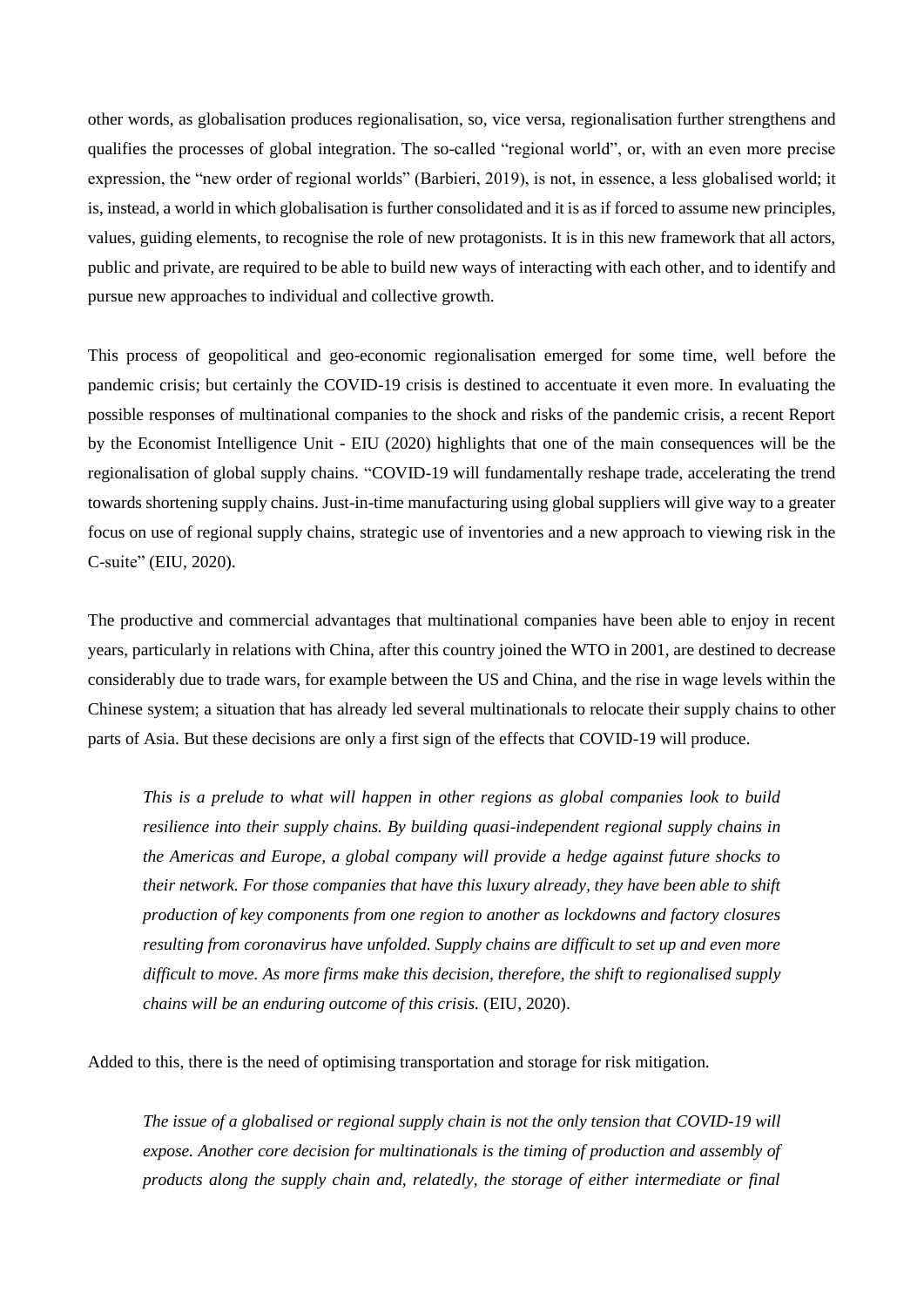other words, as globalisation produces regionalisation, so, vice versa, regionalisation further strengthens and qualifies the processes of global integration. The so-called "regional world", or, with an even more precise expression, the "new order of regional worlds" (Barbieri, 2019), is not, in essence, a less globalised world; it is, instead, a world in which globalisation is further consolidated and it is as if forced to assume new principles, values, guiding elements, to recognise the role of new protagonists. It is in this new framework that all actors, public and private, are required to be able to build new ways of interacting with each other, and to identify and pursue new approaches to individual and collective growth.

This process of geopolitical and geo-economic regionalisation emerged for some time, well before the pandemic crisis; but certainly the COVID-19 crisis is destined to accentuate it even more. In evaluating the possible responses of multinational companies to the shock and risks of the pandemic crisis, a recent Report by the Economist Intelligence Unit - EIU (2020) highlights that one of the main consequences will be the regionalisation of global supply chains. "COVID-19 will fundamentally reshape trade, accelerating the trend towards shortening supply chains. Just-in-time manufacturing using global suppliers will give way to a greater focus on use of regional supply chains, strategic use of inventories and a new approach to viewing risk in the C-suite" (EIU, 2020).

The productive and commercial advantages that multinational companies have been able to enjoy in recent years, particularly in relations with China, after this country joined the WTO in 2001, are destined to decrease considerably due to trade wars, for example between the US and China, and the rise in wage levels within the Chinese system; a situation that has already led several multinationals to relocate their supply chains to other parts of Asia. But these decisions are only a first sign of the effects that COVID-19 will produce.

*This is a prelude to what will happen in other regions as global companies look to build resilience into their supply chains. By building quasi-independent regional supply chains in the Americas and Europe, a global company will provide a hedge against future shocks to their network. For those companies that have this luxury already, they have been able to shift production of key components from one region to another as lockdowns and factory closures resulting from coronavirus have unfolded. Supply chains are difficult to set up and even more difficult to move. As more firms make this decision, therefore, the shift to regionalised supply chains will be an enduring outcome of this crisis.* (EIU, 2020).

Added to this, there is the need of optimising transportation and storage for risk mitigation.

*The issue of a globalised or regional supply chain is not the only tension that COVID-19 will expose. Another core decision for multinationals is the timing of production and assembly of products along the supply chain and, relatedly, the storage of either intermediate or final*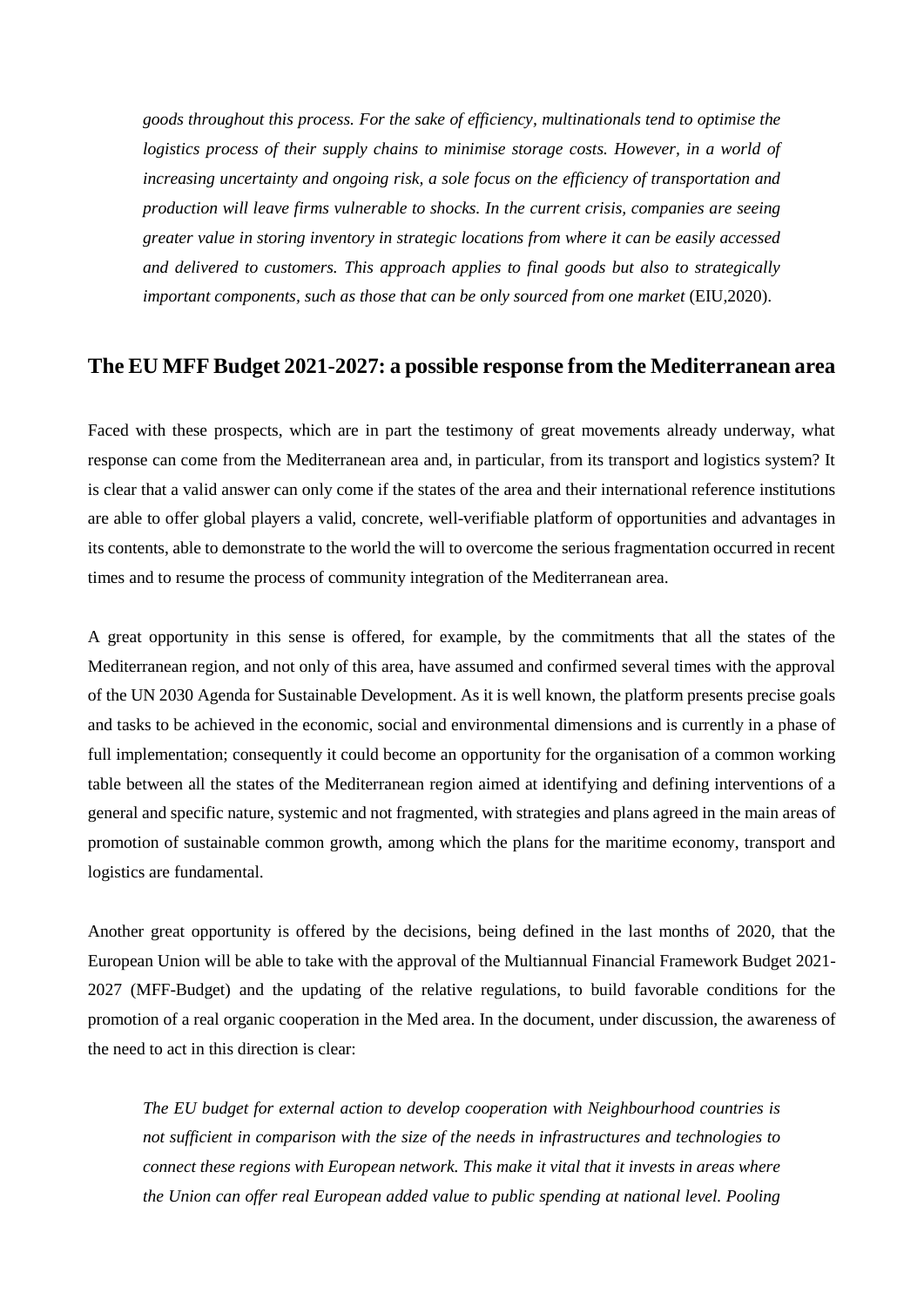*goods throughout this process. For the sake of efficiency, multinationals tend to optimise the logistics process of their supply chains to minimise storage costs. However, in a world of increasing uncertainty and ongoing risk, a sole focus on the efficiency of transportation and production will leave firms vulnerable to shocks. In the current crisis, companies are seeing greater value in storing inventory in strategic locations from where it can be easily accessed and delivered to customers. This approach applies to final goods but also to strategically important components, such as those that can be only sourced from one market* (EIU,2020).

# **The EU MFF Budget 2021-2027: a possible response from the Mediterranean area**

Faced with these prospects, which are in part the testimony of great movements already underway, what response can come from the Mediterranean area and, in particular, from its transport and logistics system? It is clear that a valid answer can only come if the states of the area and their international reference institutions are able to offer global players a valid, concrete, well-verifiable platform of opportunities and advantages in its contents, able to demonstrate to the world the will to overcome the serious fragmentation occurred in recent times and to resume the process of community integration of the Mediterranean area.

A great opportunity in this sense is offered, for example, by the commitments that all the states of the Mediterranean region, and not only of this area, have assumed and confirmed several times with the approval of the UN 2030 Agenda for Sustainable Development. As it is well known, the platform presents precise goals and tasks to be achieved in the economic, social and environmental dimensions and is currently in a phase of full implementation; consequently it could become an opportunity for the organisation of a common working table between all the states of the Mediterranean region aimed at identifying and defining interventions of a general and specific nature, systemic and not fragmented, with strategies and plans agreed in the main areas of promotion of sustainable common growth, among which the plans for the maritime economy, transport and logistics are fundamental.

Another great opportunity is offered by the decisions, being defined in the last months of 2020, that the European Union will be able to take with the approval of the Multiannual Financial Framework Budget 2021- 2027 (MFF-Budget) and the updating of the relative regulations, to build favorable conditions for the promotion of a real organic cooperation in the Med area. In the document, under discussion, the awareness of the need to act in this direction is clear:

*The EU budget for external action to develop cooperation with Neighbourhood countries is not sufficient in comparison with the size of the needs in infrastructures and technologies to connect these regions with European network. This make it vital that it invests in areas where the Union can offer real European added value to public spending at national level. Pooling*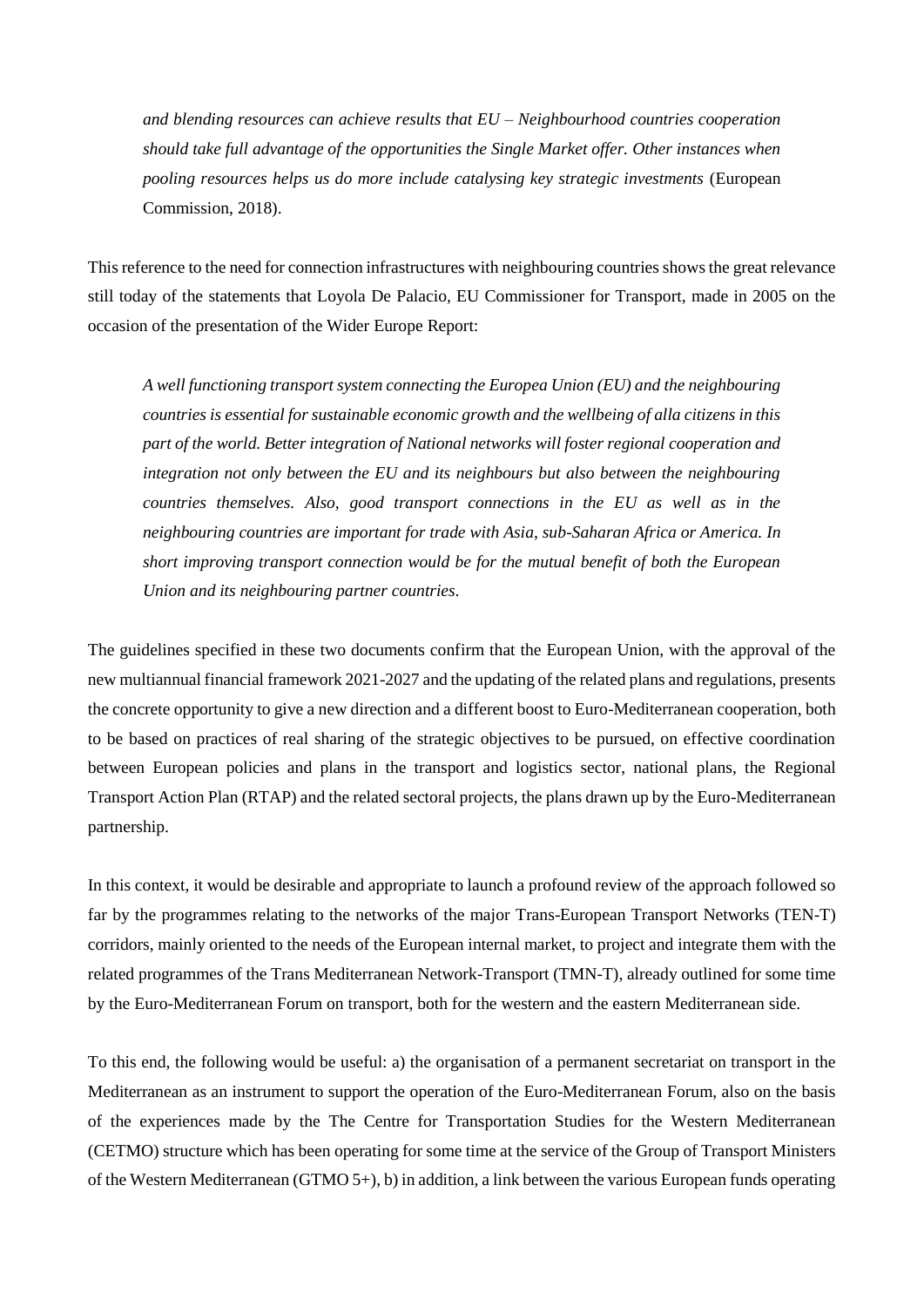*and blending resources can achieve results that EU – Neighbourhood countries cooperation should take full advantage of the opportunities the Single Market offer. Other instances when pooling resources helps us do more include catalysing key strategic investments* (European Commission, 2018).

This reference to the need for connection infrastructures with neighbouring countries shows the great relevance still today of the statements that Loyola De Palacio, EU Commissioner for Transport, made in 2005 on the occasion of the presentation of the Wider Europe Report:

*A well functioning transport system connecting the Europea Union (EU) and the neighbouring countries is essential for sustainable economic growth and the wellbeing of alla citizens in this part of the world. Better integration of National networks will foster regional cooperation and integration not only between the EU and its neighbours but also between the neighbouring countries themselves. Also, good transport connections in the EU as well as in the neighbouring countries are important for trade with Asia, sub-Saharan Africa or America. In short improving transport connection would be for the mutual benefit of both the European Union and its neighbouring partner countries.*

The guidelines specified in these two documents confirm that the European Union, with the approval of the new multiannual financial framework 2021-2027 and the updating of the related plans and regulations, presents the concrete opportunity to give a new direction and a different boost to Euro-Mediterranean cooperation, both to be based on practices of real sharing of the strategic objectives to be pursued, on effective coordination between European policies and plans in the transport and logistics sector, national plans, the Regional Transport Action Plan (RTAP) and the related sectoral projects, the plans drawn up by the Euro-Mediterranean partnership.

In this context, it would be desirable and appropriate to launch a profound review of the approach followed so far by the programmes relating to the networks of the major Trans-European Transport Networks (TEN-T) corridors, mainly oriented to the needs of the European internal market, to project and integrate them with the related programmes of the Trans Mediterranean Network-Transport (TMN-T), already outlined for some time by the Euro-Mediterranean Forum on transport, both for the western and the eastern Mediterranean side.

To this end, the following would be useful: a) the organisation of a permanent secretariat on transport in the Mediterranean as an instrument to support the operation of the Euro-Mediterranean Forum, also on the basis of the experiences made by the The Centre for Transportation Studies for the Western Mediterranean (CETMO) structure which has been operating for some time at the service of the Group of Transport Ministers of the Western Mediterranean (GTMO 5+), b) in addition, a link between the various European funds operating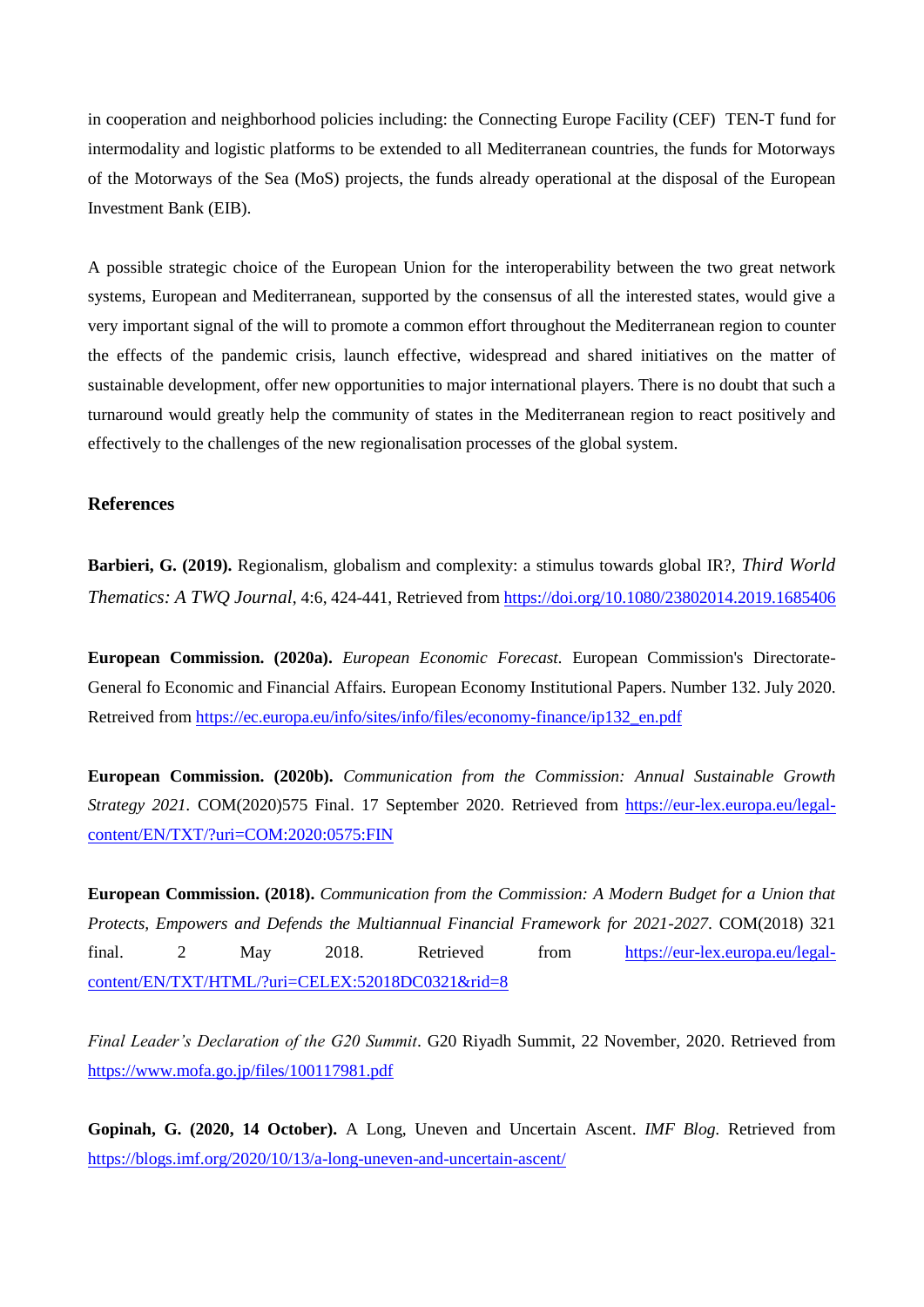in cooperation and neighborhood policies including: the Connecting Europe Facility (CEF) TEN-T fund for intermodality and logistic platforms to be extended to all Mediterranean countries, the funds for Motorways of the Motorways of the Sea (MoS) projects, the funds already operational at the disposal of the European Investment Bank (EIB).

A possible strategic choice of the European Union for the interoperability between the two great network systems, European and Mediterranean, supported by the consensus of all the interested states, would give a very important signal of the will to promote a common effort throughout the Mediterranean region to counter the effects of the pandemic crisis, launch effective, widespread and shared initiatives on the matter of sustainable development, offer new opportunities to major international players. There is no doubt that such a turnaround would greatly help the community of states in the Mediterranean region to react positively and effectively to the challenges of the new regionalisation processes of the global system.

#### **References**

**Barbieri, G. (2019).** Regionalism, globalism and complexity: a stimulus towards global IR?, *Third World Thematics: A TWQ Journal*, 4:6, 424-441, Retrieved fro[m https://doi.org/10.1080/23802014.2019.1685406](https://doi.org/10.1080/23802014.2019.1685406)

**European Commission. (2020a).** *European Economic Forecast.* European Commission's Directorate-General fo Economic and Financial Affairs*.* European Economy Institutional Papers. Number 132. July 2020. Retreived from [https://ec.europa.eu/info/sites/info/files/economy-finance/ip132\\_en.pdf](https://ec.europa.eu/info/sites/info/files/economy-finance/ip132_en.pdf)

**European Commission. (2020b).** *Communication from the Commission: Annual Sustainable Growth Strategy 2021.* COM(2020)575 Final. 17 September 2020. Retrieved from [https://eur-lex.europa.eu/legal](https://eur-lex.europa.eu/legal-content/EN/TXT/?uri=COM:2020:0575:FIN)[content/EN/TXT/?uri=COM:2020:0575:FIN](https://eur-lex.europa.eu/legal-content/EN/TXT/?uri=COM:2020:0575:FIN)

**European Commission. (2018).** *Communication from the Commission: A Modern Budget for a Union that Protects, Empowers and Defends the Multiannual Financial Framework for 2021-2027*. COM(2018) 321 final. 2 May 2018. Retrieved from [https://eur-lex.europa.eu/legal](https://eur-lex.europa.eu/legal-content/EN/TXT/HTML/?uri=CELEX:52018DC0321&rid=8)[content/EN/TXT/HTML/?uri=CELEX:52018DC0321&rid=8](https://eur-lex.europa.eu/legal-content/EN/TXT/HTML/?uri=CELEX:52018DC0321&rid=8)

*Final Leader's Declaration of the G20 Summit*. G20 Riyadh Summit, 22 November, 2020. Retrieved from <https://www.mofa.go.jp/files/100117981.pdf>

**Gopinah, G. (2020, 14 October).** A Long, Uneven and Uncertain Ascent. *IMF Blog.* Retrieved from <https://blogs.imf.org/2020/10/13/a-long-uneven-and-uncertain-ascent/>